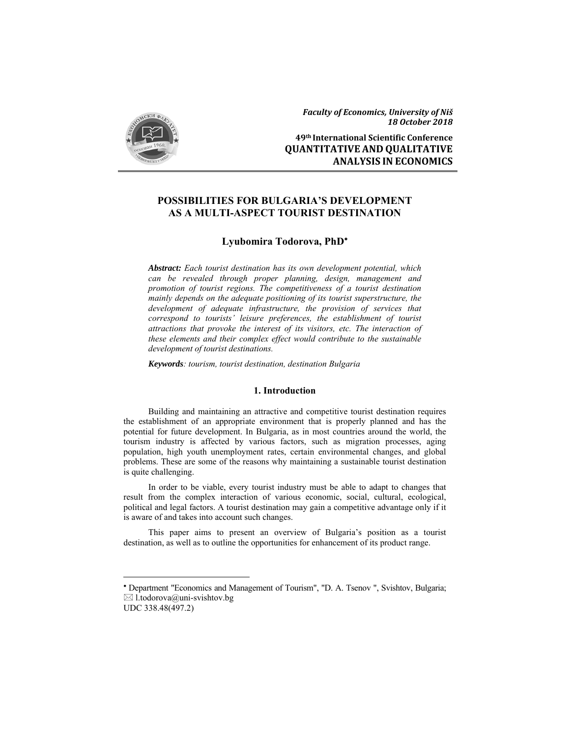

**49th International Scientific Conference QUANTITATIVE AND QUALITATIVE ANALYSIS IN ECONOMICS**

## **POSSIBILITIES FOR BULGARIA'S DEVELOPMENT AS A MULTI-ASPECT TOURIST DESTINATION**

### **Lyubomira Todorova, PhD**

*Abstract: Each tourist destination has its own development potential, which can be revealed through proper planning, design, management and promotion of tourist regions. The competitiveness of a tourist destination mainly depends on the adequate positioning of its tourist superstructure, the development of adequate infrastructure, the provision of services that correspond to tourists' leisure preferences, the establishment of tourist attractions that provoke the interest of its visitors, etc. The interaction of these elements and their complex effect would contribute to the sustainable development of tourist destinations.* 

*Keywords: tourism, tourist destination, destination Bulgaria* 

#### **1. Introduction**

Building and maintaining an attractive and competitive tourist destination requires the establishment of an appropriate environment that is properly planned and has the potential for future development. In Bulgaria, as in most countries around the world, the tourism industry is affected by various factors, such as migration processes, aging population, high youth unemployment rates, certain environmental changes, and global problems. These are some of the reasons why maintaining a sustainable tourist destination is quite challenging.

In order to be viable, every tourist industry must be able to adapt to changes that result from the complex interaction of various economic, social, cultural, ecological, political and legal factors. A tourist destination may gain a competitive advantage only if it is aware of and takes into account such changes.

This paper aims to present an overview of Bulgaria's position as a tourist destination, as well as to outline the opportunities for enhancement of its product range.

 Department "Economics and Management of Tourism", "D. A. Tsenov ", Svishtov, Bulgaria;  $\boxtimes$  l.todorova@uni-svishtov.bg

UDC 338.48(497.2)

-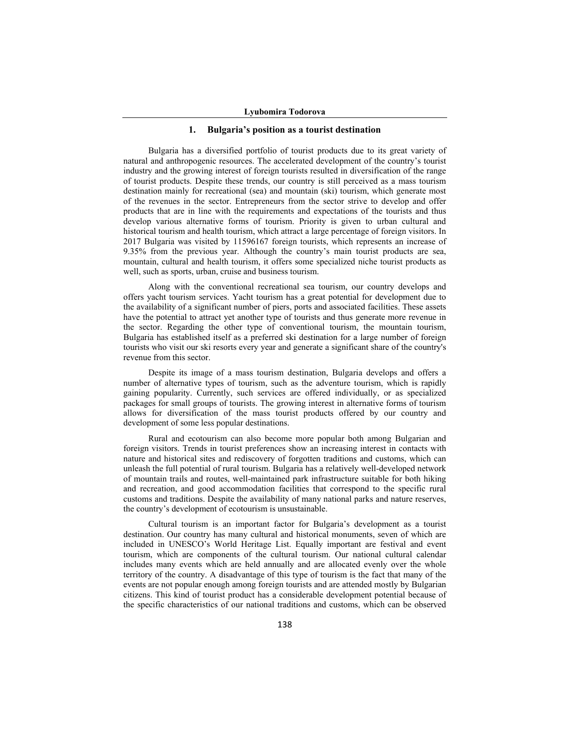#### **1. Bulgaria's position as a tourist destination**

Bulgaria has a diversified portfolio of tourist products due to its great variety of natural and anthropogenic resources. The accelerated development of the country's tourist industry and the growing interest of foreign tourists resulted in diversification of the range of tourist products. Despite these trends, our country is still perceived as a mass tourism destination mainly for recreational (sea) and mountain (ski) tourism, which generate most of the revenues in the sector. Entrepreneurs from the sector strive to develop and offer products that are in line with the requirements and expectations of the tourists and thus develop various alternative forms of tourism. Priority is given to urban cultural and historical tourism and health tourism, which attract a large percentage of foreign visitors. In 2017 Bulgaria was visited by 11596167 foreign tourists, which represents an increase of 9.35% from the previous year. Although the country's main tourist products are sea, mountain, cultural and health tourism, it offers some specialized niche tourist products as well, such as sports, urban, cruise and business tourism.

Along with the conventional recreational sea tourism, our country develops and offers yacht tourism services. Yacht tourism has a great potential for development due to the availability of a significant number of piers, ports and associated facilities. These assets have the potential to attract yet another type of tourists and thus generate more revenue in the sector. Regarding the other type of conventional tourism, the mountain tourism, Bulgaria has established itself as a preferred ski destination for a large number of foreign tourists who visit our ski resorts every year and generate a significant share of the country's revenue from this sector.

Despite its image of a mass tourism destination, Bulgaria develops and offers a number of alternative types of tourism, such as the adventure tourism, which is rapidly gaining popularity. Currently, such services are offered individually, or as specialized packages for small groups of tourists. The growing interest in alternative forms of tourism allows for diversification of the mass tourist products offered by our country and development of some less popular destinations.

Rural and ecotourism can also become more popular both among Bulgarian and foreign visitors. Trends in tourist preferences show an increasing interest in contacts with nature and historical sites and rediscovery of forgotten traditions and customs, which can unleash the full potential of rural tourism. Bulgaria has a relatively well-developed network of mountain trails and routes, well-maintained park infrastructure suitable for both hiking and recreation, and good accommodation facilities that correspond to the specific rural customs and traditions. Despite the availability of many national parks and nature reserves, the country's development of ecotourism is unsustainable.

Cultural tourism is an important factor for Bulgaria's development as a tourist destination. Our country has many cultural and historical monuments, seven of which are included in UNESCO's World Heritage List. Equally important are festival and event tourism, which are components of the cultural tourism. Our national cultural calendar includes many events which are held annually and are allocated evenly over the whole territory of the country. A disadvantage of this type of tourism is the fact that many of the events are not popular enough among foreign tourists and are attended mostly by Bulgarian citizens. This kind of tourist product has a considerable development potential because of the specific characteristics of our national traditions and customs, which can be observed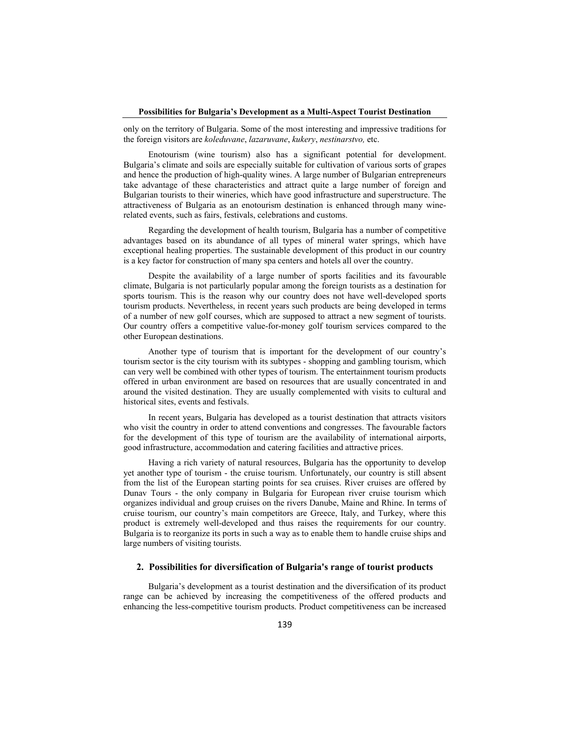#### **Possibilities for Bulgaria's Development as a Multi-Aspect Tourist Destination**

only on the territory of Bulgaria. Some of the most interesting and impressive traditions for the foreign visitors are *koleduvane*, *lazaruvane*, *kukery*, *nestinarstvo,* etc.

Enotourism (wine tourism) also has a significant potential for development. Bulgaria's climate and soils are especially suitable for cultivation of various sorts of grapes and hence the production of high-quality wines. A large number of Bulgarian entrepreneurs take advantage of these characteristics and attract quite a large number of foreign and Bulgarian tourists to their wineries, which have good infrastructure and superstructure. The attractiveness of Bulgaria as an enotourism destination is enhanced through many winerelated events, such as fairs, festivals, celebrations and customs.

Regarding the development of health tourism, Bulgaria has a number of competitive advantages based on its abundance of all types of mineral water springs, which have exceptional healing properties. The sustainable development of this product in our country is a key factor for construction of many spa centers and hotels all over the country.

Despite the availability of a large number of sports facilities and its favourable climate, Bulgaria is not particularly popular among the foreign tourists as a destination for sports tourism. This is the reason why our country does not have well-developed sports tourism products. Nevertheless, in recent years such products are being developed in terms of a number of new golf courses, which are supposed to attract a new segment of tourists. Our country offers a competitive value-for-money golf tourism services compared to the other European destinations.

Another type of tourism that is important for the development of our country's tourism sector is the city tourism with its subtypes - shopping and gambling tourism, which can very well be combined with other types of tourism. The entertainment tourism products offered in urban environment are based on resources that are usually concentrated in and around the visited destination. They are usually complemented with visits to cultural and historical sites, events and festivals.

In recent years, Bulgaria has developed as a tourist destination that attracts visitors who visit the country in order to attend conventions and congresses. The favourable factors for the development of this type of tourism are the availability of international airports, good infrastructure, accommodation and catering facilities and attractive prices.

Having a rich variety of natural resources, Bulgaria has the opportunity to develop yet another type of tourism - the cruise tourism. Unfortunately, our country is still absent from the list of the European starting points for sea cruises. River cruises are offered by Dunav Tours - the only company in Bulgaria for European river cruise tourism which organizes individual and group cruises on the rivers Danube, Maine and Rhine. In terms of cruise tourism, our country's main competitors are Greece, Italy, and Turkey, where this product is extremely well-developed and thus raises the requirements for our country. Bulgaria is to reorganize its ports in such a way as to enable them to handle cruise ships and large numbers of visiting tourists.

#### **2. Possibilities for diversification of Bulgaria's range of tourist products**

Bulgaria's development as a tourist destination and the diversification of its product range can be achieved by increasing the competitiveness of the offered products and enhancing the less-competitive tourism products. Product competitiveness can be increased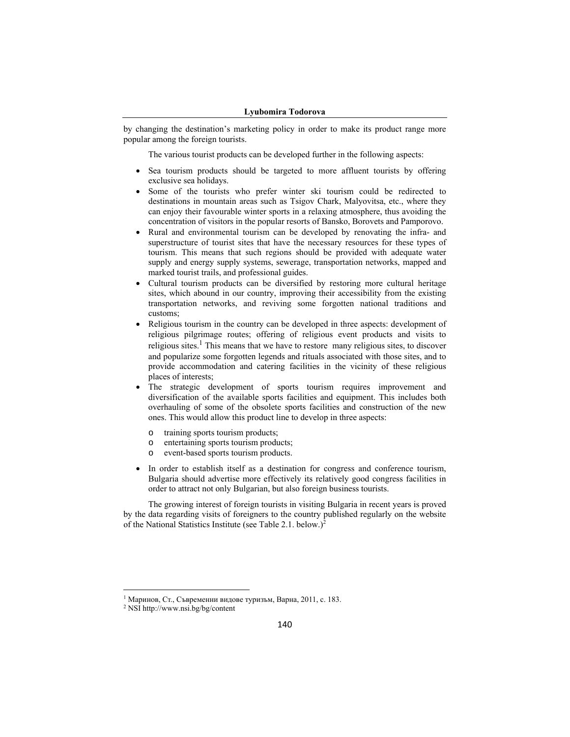#### **Lyubomira Todorova**

by changing the destination's marketing policy in order to make its product range more popular among the foreign tourists.

The various tourist products can be developed further in the following aspects:

- Sea tourism products should be targeted to more affluent tourists by offering exclusive sea holidays.
- Some of the tourists who prefer winter ski tourism could be redirected to destinations in mountain areas such as Tsigov Chark, Malyovitsa, etc., where they can enjoy their favourable winter sports in a relaxing atmosphere, thus avoiding the concentration of visitors in the popular resorts of Bansko, Borovets and Pamporovo.
- Rural and environmental tourism can be developed by renovating the infra- and superstructure of tourist sites that have the necessary resources for these types of tourism. This means that such regions should be provided with adequate water supply and energy supply systems, sewerage, transportation networks, mapped and marked tourist trails, and professional guides.
- Cultural tourism products can be diversified by restoring more cultural heritage sites, which abound in our country, improving their accessibility from the existing transportation networks, and reviving some forgotten national traditions and customs;
- Religious tourism in the country can be developed in three aspects: development of religious pilgrimage routes; offering of religious event products and visits to religious sites.<sup>1</sup> This means that we have to restore many religious sites, to discover and popularize some forgotten legends and rituals associated with those sites, and to provide accommodation and catering facilities in the vicinity of these religious places of interests;
- The strategic development of sports tourism requires improvement and diversification of the available sports facilities and equipment. This includes both overhauling of some of the obsolete sports facilities and construction of the new ones. This would allow this product line to develop in three aspects:
	- o training sports tourism products;
	- o entertaining sports tourism products;
	- o event-based sports tourism products.
- In order to establish itself as a destination for congress and conference tourism, Bulgaria should advertise more effectively its relatively good congress facilities in order to attract not only Bulgarian, but also foreign business tourists.

The growing interest of foreign tourists in visiting Bulgaria in recent years is proved by the data regarding visits of foreigners to the country published regularly on the website of the National Statistics Institute (see Table 2.1. below.)<sup>2</sup>

 $\overline{a}$ 

<sup>1</sup> Маринов, Ст., Съвременни видове туризъм, Варна, 2011, с. 183.

<sup>2</sup> NSI http://www.nsi.bg/bg/content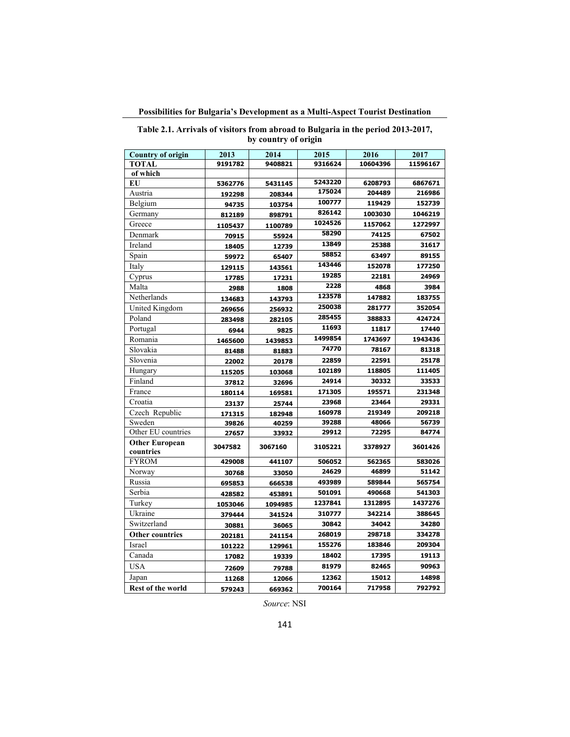**Possibilities for Bulgaria's Development as a Multi-Aspect Tourist Destination**

| <b>Country of origin</b> | 2013    | 2014<br>2015 |                  | 2016     | 2017     |
|--------------------------|---------|--------------|------------------|----------|----------|
| <b>TOTAL</b>             | 9191782 | 9408821      | 9316624          | 10604396 | 11596167 |
| of which                 |         |              |                  |          |          |
| EU                       | 5362776 | 5431145      | 5243220          | 6208793  | 6867671  |
| Austria                  | 192298  | 208344       | 175024           | 204489   | 216986   |
| Belgium                  | 94735   | 103754       | 100777<br>119429 |          | 152739   |
| Germany                  | 812189  | 898791       | 826142           | 1003030  | 1046219  |
| Greece                   | 1105437 | 1100789      | 1024526          | 1157062  | 1272997  |
| Denmark                  | 70915   | 55924        | 58290            | 74125    | 67502    |
| Ireland                  | 18405   | 12739        | 13849            | 25388    | 31617    |
| Spain                    | 59972   | 65407        | 58852            | 63497    | 89155    |
| Italy                    | 129115  | 143561       | 143446           | 152078   | 177250   |
| Cyprus                   | 17785   | 17231        | 19285            | 22181    | 24969    |
| Malta                    | 2988    | 1808         | 2228             | 4868     | 3984     |
| Netherlands              | 134683  | 143793       | 123578           | 147882   | 183755   |
| United Kingdom           | 269656  | 256932       | 250038           | 281777   | 352054   |
| Poland                   | 283498  | 282105       | 285455           | 388833   | 424724   |
| Portugal                 | 6944    | 9825         | 11693            | 11817    | 17440    |
| Romania                  | 1465600 | 1439853      | 1499854          | 1743697  | 1943436  |
| Slovakia                 | 81488   | 81883        | 74770            | 78167    | 81318    |
| Slovenia                 | 22002   | 20178        | 22859            | 22591    | 25178    |
| Hungary                  | 115205  | 103068       | 102189           | 118805   | 111405   |
| Finland                  | 37812   | 32696        | 24914            | 30332    | 33533    |
| France                   | 180114  | 169581       | 171305           | 195571   | 231348   |
| Croatia                  | 23137   | 25744        | 23968            | 23464    | 29331    |
| Czech Republic           | 171315  | 182948       | 160978           | 219349   | 209218   |
| Sweden                   | 39826   | 40259        | 39288            | 48066    | 56739    |
| Other EU countries       | 27657   | 33932        | 29912            | 72295    | 84774    |
| <b>Other European</b>    | 3047582 | 3067160      | 3105221          | 3378927  | 3601426  |
| countries                |         |              |                  |          |          |
| <b>FYROM</b>             | 429008  | 441107       | 506052           | 562365   | 583026   |
| Norway                   | 30768   | 33050        | 24629            | 46899    | 51142    |
| Russia                   | 695853  | 666538       | 493989           | 589844   | 565754   |
| Serbia                   | 428582  | 453891       | 501091           | 490668   | 541303   |
| Turkey                   | 1053046 | 1094985      | 1237841          | 1312895  | 1437276  |
| Ukraine                  | 379444  | 341524       | 310777           | 342214   | 388645   |
| Switzerland              | 30881   | 36065        | 30842            | 34042    | 34280    |
| <b>Other countries</b>   | 202181  | 241154       | 268019           | 298718   | 334278   |
| <b>Israel</b>            | 101222  | 129961       | 155276           | 183846   | 209304   |
| Canada                   | 17082   | 19339        | 18402            | 17395    | 19113    |
| <b>USA</b>               | 72609   | 79788        | 81979            | 82465    | 90963    |
| Japan                    | 11268   | 12066        | 12362            | 15012    | 14898    |
| <b>Rest of the world</b> | 579243  | 669362       | 700164           | 717958   | 792792   |

|  |  |                      |  | Table 2.1. Arrivals of visitors from abroad to Bulgaria in the period 2013-2017, |
|--|--|----------------------|--|----------------------------------------------------------------------------------|
|  |  | by country of origin |  |                                                                                  |

*Source*: NSI